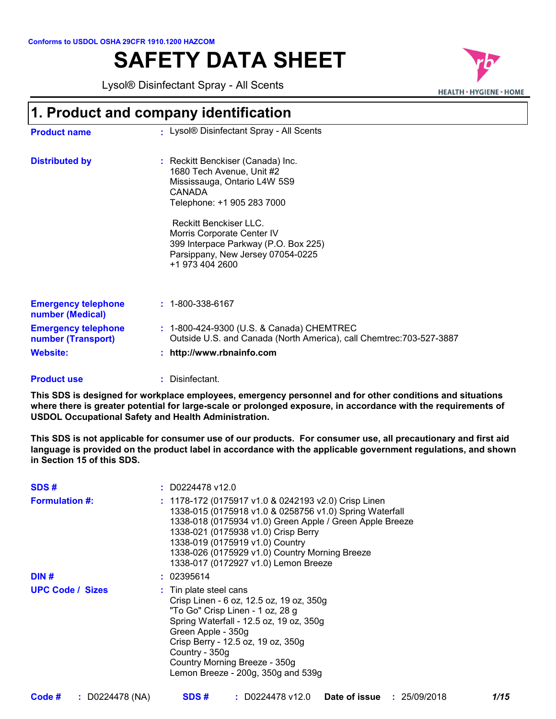# **SAFETY DATA SHEET**



| Conforms to USDOL OSHA 29CFR 1910.1200 HAZCOM<br><b>SAFETY DATA SHEET</b>                                             |                                                                                                                                                                                                                                                                                                       |                               |
|-----------------------------------------------------------------------------------------------------------------------|-------------------------------------------------------------------------------------------------------------------------------------------------------------------------------------------------------------------------------------------------------------------------------------------------------|-------------------------------|
|                                                                                                                       | Lysol® Disinfectant Spray - All Scents                                                                                                                                                                                                                                                                | <b>HEALTH • HYGIENE • HON</b> |
|                                                                                                                       | 1. Product and company identification                                                                                                                                                                                                                                                                 |                               |
| <b>Product name</b>                                                                                                   | : Lysol® Disinfectant Spray - All Scents                                                                                                                                                                                                                                                              |                               |
| <b>Distributed by</b>                                                                                                 | : Reckitt Benckiser (Canada) Inc.<br>1680 Tech Avenue, Unit #2<br>Mississauga, Ontario L4W 5S9<br><b>CANADA</b><br>Telephone: +1 905 283 7000<br>Reckitt Benckiser LLC.<br>Morris Corporate Center IV<br>399 Interpace Parkway (P.O. Box 225)<br>Parsippany, New Jersey 07054-0225<br>+1 973 404 2600 |                               |
| <b>Emergency telephone</b><br>number (Medical)<br><b>Emergency telephone</b><br>number (Transport)<br><b>Website:</b> | $: 1 - 800 - 338 - 6167$<br>: 1-800-424-9300 (U.S. & Canada) CHEMTREC<br>Outside U.S. and Canada (North America), call Chemtrec: 703-527-3887<br>: http://www.rbnainfo.com                                                                                                                            |                               |

#### Disinfectant. **: Product use**

**This SDS is designed for workplace employees, emergency personnel and for other conditions and situations where there is greater potential for large-scale or prolonged exposure, in accordance with the requirements of USDOL Occupational Safety and Health Administration.**

**This SDS is not applicable for consumer use of our products. For consumer use, all precautionary and first aid language is provided on the product label in accordance with the applicable government regulations, and shown in Section 15 of this SDS.**

| SDS#                    | $: $ D0224478 v12.0                                                                                                                                                                                                                                                                                                                             |
|-------------------------|-------------------------------------------------------------------------------------------------------------------------------------------------------------------------------------------------------------------------------------------------------------------------------------------------------------------------------------------------|
| <b>Formulation #:</b>   | : 1178-172 (0175917 v1.0 & 0242193 v2.0) Crisp Linen<br>1338-015 (0175918 v1.0 & 0258756 v1.0) Spring Waterfall<br>1338-018 (0175934 v1.0) Green Apple / Green Apple Breeze<br>1338-021 (0175938 v1.0) Crisp Berry<br>1338-019 (0175919 v1.0) Country<br>1338-026 (0175929 v1.0) Country Morning Breeze<br>1338-017 (0172927 v1.0) Lemon Breeze |
| DIN#                    | : 02395614                                                                                                                                                                                                                                                                                                                                      |
| <b>UPC Code / Sizes</b> | : Tin plate steel cans<br>Crisp Linen - 6 oz, 12.5 oz, 19 oz, 350g<br>"To Go" Crisp Linen - 1 oz, 28 g<br>Spring Waterfall - 12.5 oz, 19 oz, 350g<br>Green Apple - 350g<br>Crisp Berry - 12.5 oz, 19 oz, 350g<br>Country - 350g<br>Country Morning Breeze - 350g<br>Lemon Breeze - 200g, 350g and 539g                                          |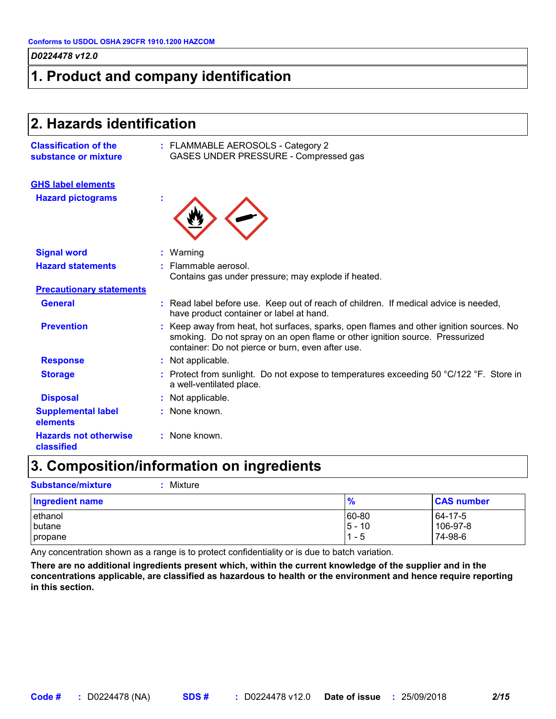# **1. Product and company identification**

| 2. Hazards identification                            |                                                                                                                                                                                                                            |  |
|------------------------------------------------------|----------------------------------------------------------------------------------------------------------------------------------------------------------------------------------------------------------------------------|--|
| <b>Classification of the</b><br>substance or mixture | : FLAMMABLE AEROSOLS - Category 2<br>GASES UNDER PRESSURE - Compressed gas                                                                                                                                                 |  |
| <b>GHS label elements</b>                            |                                                                                                                                                                                                                            |  |
| <b>Hazard pictograms</b>                             |                                                                                                                                                                                                                            |  |
| <b>Signal word</b>                                   | : Warning                                                                                                                                                                                                                  |  |
| <b>Hazard statements</b>                             | Flammable aerosol.<br>Contains gas under pressure; may explode if heated.                                                                                                                                                  |  |
| <b>Precautionary statements</b>                      |                                                                                                                                                                                                                            |  |
| <b>General</b>                                       | : Read label before use. Keep out of reach of children. If medical advice is needed,<br>have product container or label at hand.                                                                                           |  |
| <b>Prevention</b>                                    | Keep away from heat, hot surfaces, sparks, open flames and other ignition sources. No<br>smoking. Do not spray on an open flame or other ignition source. Pressurized<br>container: Do not pierce or burn, even after use. |  |
| <b>Response</b>                                      | : Not applicable.                                                                                                                                                                                                          |  |
| <b>Storage</b>                                       | : Protect from sunlight. Do not expose to temperatures exceeding 50 °C/122 °F. Store in<br>a well-ventilated place.                                                                                                        |  |
| <b>Disposal</b>                                      | : Not applicable.                                                                                                                                                                                                          |  |
| <b>Supplemental label</b><br>elements                | : None known.                                                                                                                                                                                                              |  |
| <b>Hazards not otherwise</b><br>classified           | : None known.                                                                                                                                                                                                              |  |

# **3. Composition/information on ingredients**

**Substance/mixture :** Mixture

| <b>Ingredient name</b> | $\frac{9}{6}$ | <b>CAS number</b> |
|------------------------|---------------|-------------------|
| ethanol                | 60-80         | $164 - 17 - 5$    |
| butane                 | $5 - 10$      | 106-97-8          |
| propane                | - 5           | 74-98-6           |

Any concentration shown as a range is to protect confidentiality or is due to batch variation.

**There are no additional ingredients present which, within the current knowledge of the supplier and in the concentrations applicable, are classified as hazardous to health or the environment and hence require reporting in this section.**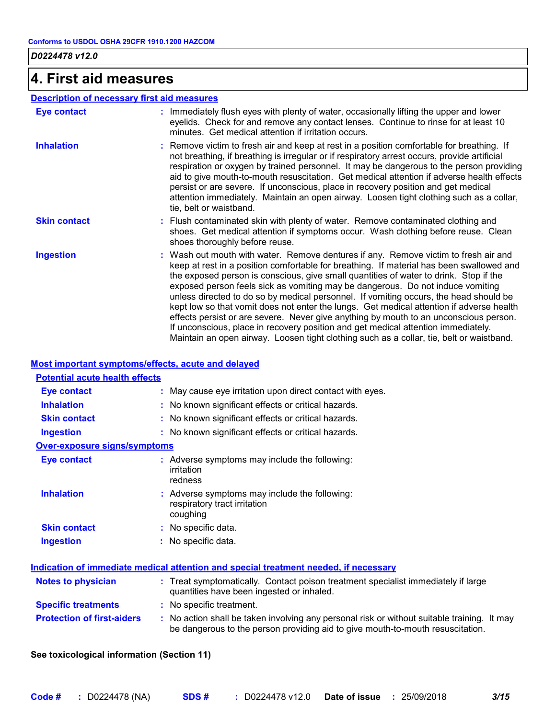### **4. First aid measures**

### **Description of necessary first aid measures**

| <b>Eye contact</b>  | : Immediately flush eyes with plenty of water, occasionally lifting the upper and lower<br>eyelids. Check for and remove any contact lenses. Continue to rinse for at least 10<br>minutes. Get medical attention if irritation occurs.                                                                                                                                                                                                                                                                                                                                                                                                                                                                                                                                                                                    |
|---------------------|---------------------------------------------------------------------------------------------------------------------------------------------------------------------------------------------------------------------------------------------------------------------------------------------------------------------------------------------------------------------------------------------------------------------------------------------------------------------------------------------------------------------------------------------------------------------------------------------------------------------------------------------------------------------------------------------------------------------------------------------------------------------------------------------------------------------------|
| <b>Inhalation</b>   | : Remove victim to fresh air and keep at rest in a position comfortable for breathing. If<br>not breathing, if breathing is irregular or if respiratory arrest occurs, provide artificial<br>respiration or oxygen by trained personnel. It may be dangerous to the person providing<br>aid to give mouth-to-mouth resuscitation. Get medical attention if adverse health effects<br>persist or are severe. If unconscious, place in recovery position and get medical<br>attention immediately. Maintain an open airway. Loosen tight clothing such as a collar,<br>tie, belt or waistband.                                                                                                                                                                                                                              |
| <b>Skin contact</b> | : Flush contaminated skin with plenty of water. Remove contaminated clothing and<br>shoes. Get medical attention if symptoms occur. Wash clothing before reuse. Clean<br>shoes thoroughly before reuse.                                                                                                                                                                                                                                                                                                                                                                                                                                                                                                                                                                                                                   |
| <b>Ingestion</b>    | : Wash out mouth with water. Remove dentures if any. Remove victim to fresh air and<br>keep at rest in a position comfortable for breathing. If material has been swallowed and<br>the exposed person is conscious, give small quantities of water to drink. Stop if the<br>exposed person feels sick as vomiting may be dangerous. Do not induce vomiting<br>unless directed to do so by medical personnel. If vomiting occurs, the head should be<br>kept low so that vomit does not enter the lungs. Get medical attention if adverse health<br>effects persist or are severe. Never give anything by mouth to an unconscious person.<br>If unconscious, place in recovery position and get medical attention immediately.<br>Maintain an open airway. Loosen tight clothing such as a collar, tie, belt or waistband. |

### **Most important symptoms/effects, acute and delayed**

| Eye contact                         | : May cause eye irritation upon direct contact with eyes.                                 |
|-------------------------------------|-------------------------------------------------------------------------------------------|
| <b>Inhalation</b>                   | : No known significant effects or critical hazards.                                       |
| <b>Skin contact</b>                 | : No known significant effects or critical hazards.                                       |
| <b>Ingestion</b>                    | : No known significant effects or critical hazards.                                       |
| <b>Over-exposure signs/symptoms</b> |                                                                                           |
| <b>Eye contact</b>                  | : Adverse symptoms may include the following:<br>irritation<br>redness                    |
| <b>Inhalation</b>                   | : Adverse symptoms may include the following:<br>respiratory tract irritation<br>coughing |
| <b>Skin contact</b>                 | : No specific data.                                                                       |
| <b>Ingestion</b>                    | : No specific data.                                                                       |

| <b>Notes to physician</b>         | : Treat symptomatically. Contact poison treatment specialist immediately if large<br>quantities have been ingested or inhaled.                                                |
|-----------------------------------|-------------------------------------------------------------------------------------------------------------------------------------------------------------------------------|
| <b>Specific treatments</b>        | : No specific treatment.                                                                                                                                                      |
| <b>Protection of first-aiders</b> | : No action shall be taken involving any personal risk or without suitable training. It may<br>be dangerous to the person providing aid to give mouth-to-mouth resuscitation. |

### **See toxicological information (Section 11)**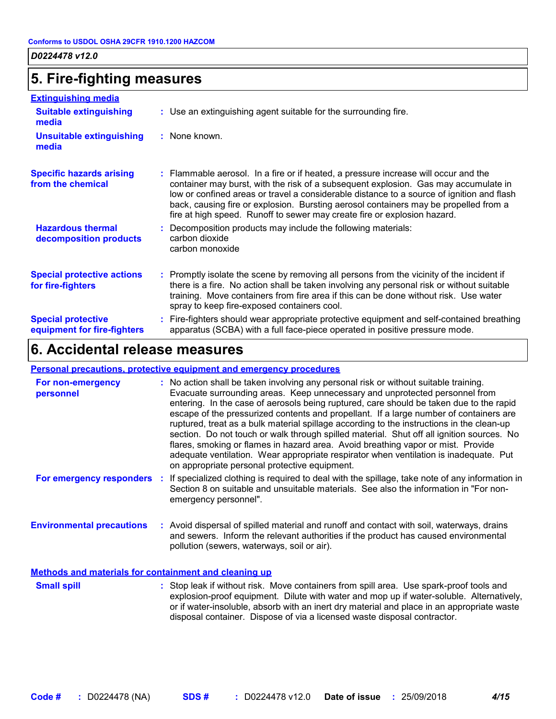# **5. Fire-fighting measures**

| <b>Extinguishing media</b>                               |                                                                                                                                                                                                                                                                                                                                                                                                                                             |
|----------------------------------------------------------|---------------------------------------------------------------------------------------------------------------------------------------------------------------------------------------------------------------------------------------------------------------------------------------------------------------------------------------------------------------------------------------------------------------------------------------------|
| <b>Suitable extinguishing</b><br>media                   | : Use an extinguishing agent suitable for the surrounding fire.                                                                                                                                                                                                                                                                                                                                                                             |
| <b>Unsuitable extinguishing</b><br>media                 | : None known.                                                                                                                                                                                                                                                                                                                                                                                                                               |
| <b>Specific hazards arising</b><br>from the chemical     | : Flammable aerosol. In a fire or if heated, a pressure increase will occur and the<br>container may burst, with the risk of a subsequent explosion. Gas may accumulate in<br>low or confined areas or travel a considerable distance to a source of ignition and flash<br>back, causing fire or explosion. Bursting aerosol containers may be propelled from a<br>fire at high speed. Runoff to sewer may create fire or explosion hazard. |
| <b>Hazardous thermal</b><br>decomposition products       | : Decomposition products may include the following materials:<br>carbon dioxide<br>carbon monoxide                                                                                                                                                                                                                                                                                                                                          |
| <b>Special protective actions</b><br>for fire-fighters   | : Promptly isolate the scene by removing all persons from the vicinity of the incident if<br>there is a fire. No action shall be taken involving any personal risk or without suitable<br>training. Move containers from fire area if this can be done without risk. Use water<br>spray to keep fire-exposed containers cool.                                                                                                               |
| <b>Special protective</b><br>equipment for fire-fighters | : Fire-fighters should wear appropriate protective equipment and self-contained breathing<br>apparatus (SCBA) with a full face-piece operated in positive pressure mode.                                                                                                                                                                                                                                                                    |

# **6. Accidental release measures**

### **Personal precautions, protective equipment and emergency procedures**

| For non-emergency<br>personnel   | : No action shall be taken involving any personal risk or without suitable training.<br>Evacuate surrounding areas. Keep unnecessary and unprotected personnel from<br>entering. In the case of aerosols being ruptured, care should be taken due to the rapid<br>escape of the pressurized contents and propellant. If a large number of containers are<br>ruptured, treat as a bulk material spillage according to the instructions in the clean-up<br>section. Do not touch or walk through spilled material. Shut off all ignition sources. No<br>flares, smoking or flames in hazard area. Avoid breathing vapor or mist. Provide<br>adequate ventilation. Wear appropriate respirator when ventilation is inadequate. Put<br>on appropriate personal protective equipment. |
|----------------------------------|----------------------------------------------------------------------------------------------------------------------------------------------------------------------------------------------------------------------------------------------------------------------------------------------------------------------------------------------------------------------------------------------------------------------------------------------------------------------------------------------------------------------------------------------------------------------------------------------------------------------------------------------------------------------------------------------------------------------------------------------------------------------------------|
|                                  | For emergency responders : If specialized clothing is required to deal with the spillage, take note of any information in<br>Section 8 on suitable and unsuitable materials. See also the information in "For non-<br>emergency personnel".                                                                                                                                                                                                                                                                                                                                                                                                                                                                                                                                      |
| <b>Environmental precautions</b> | : Avoid dispersal of spilled material and runoff and contact with soil, waterways, drains<br>and sewers. Inform the relevant authorities if the product has caused environmental<br>pollution (sewers, waterways, soil or air).                                                                                                                                                                                                                                                                                                                                                                                                                                                                                                                                                  |

### **Methods and materials for containment and cleaning up**

| <b>Small spill</b> | : Stop leak if without risk. Move containers from spill area. Use spark-proof tools and    |
|--------------------|--------------------------------------------------------------------------------------------|
|                    | explosion-proof equipment. Dilute with water and mop up if water-soluble. Alternatively,   |
|                    | or if water-insoluble, absorb with an inert dry material and place in an appropriate waste |
|                    | disposal container. Dispose of via a licensed waste disposal contractor.                   |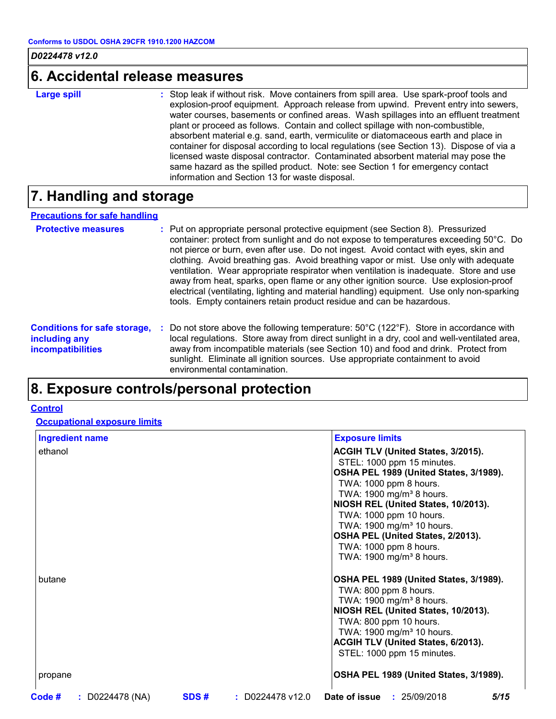### **6. Accidental release measures**

**Large spill :**

: Stop leak if without risk. Move containers from spill area. Use spark-proof tools and explosion-proof equipment. Approach release from upwind. Prevent entry into sewers, water courses, basements or confined areas. Wash spillages into an effluent treatment plant or proceed as follows. Contain and collect spillage with non-combustible, absorbent material e.g. sand, earth, vermiculite or diatomaceous earth and place in container for disposal according to local regulations (see Section 13). Dispose of via a licensed waste disposal contractor. Contaminated absorbent material may pose the same hazard as the spilled product. Note: see Section 1 for emergency contact information and Section 13 for waste disposal.

# **7. Handling and storage**

### **Precautions for safe handling**

| <b>Protective measures</b>                           | : Put on appropriate personal protective equipment (see Section 8). Pressurized<br>container: protect from sunlight and do not expose to temperatures exceeding 50°C. Do<br>not pierce or burn, even after use. Do not ingest. Avoid contact with eyes, skin and<br>clothing. Avoid breathing gas. Avoid breathing vapor or mist. Use only with adequate<br>ventilation. Wear appropriate respirator when ventilation is inadequate. Store and use<br>away from heat, sparks, open flame or any other ignition source. Use explosion-proof<br>electrical (ventilating, lighting and material handling) equipment. Use only non-sparking<br>tools. Empty containers retain product residue and can be hazardous. |
|------------------------------------------------------|-----------------------------------------------------------------------------------------------------------------------------------------------------------------------------------------------------------------------------------------------------------------------------------------------------------------------------------------------------------------------------------------------------------------------------------------------------------------------------------------------------------------------------------------------------------------------------------------------------------------------------------------------------------------------------------------------------------------|
| <b>Conditions for safe storage,</b><br>including any | Do not store above the following temperature: $50^{\circ}$ C (122 $^{\circ}$ F). Store in accordance with<br>÷.<br>local regulations. Store away from direct sunlight in a dry, cool and well-ventilated area,                                                                                                                                                                                                                                                                                                                                                                                                                                                                                                  |

**including any incompatibilities**

local regulations. Store away from direct sunlight in a dry, cool and well-ventilated area, away from incompatible materials (see Section 10) and food and drink. Protect from sunlight. Eliminate all ignition sources. Use appropriate containment to avoid environmental contamination.

# **8. Exposure controls/personal protection**

### **Control**

**Occupational exposure limits**

| <b>Ingredient name</b>         | <b>Exposure limits</b>                                                                                                                                                                                                                                                                       |
|--------------------------------|----------------------------------------------------------------------------------------------------------------------------------------------------------------------------------------------------------------------------------------------------------------------------------------------|
| ethanol                        | <b>ACGIH TLV (United States, 3/2015).</b><br>STEL: 1000 ppm 15 minutes.<br>OSHA PEL 1989 (United States, 3/1989).<br>TWA: 1000 ppm 8 hours.<br>TWA: 1900 mg/m <sup>3</sup> 8 hours.                                                                                                          |
|                                | NIOSH REL (United States, 10/2013).<br>TWA: 1000 ppm 10 hours.<br>TWA: 1900 mg/m <sup>3</sup> 10 hours.<br>OSHA PEL (United States, 2/2013).<br>TWA: 1000 ppm 8 hours.<br>TWA: 1900 mg/m <sup>3</sup> 8 hours.                                                                               |
| butane                         | OSHA PEL 1989 (United States, 3/1989).<br>TWA: 800 ppm 8 hours.<br>TWA: 1900 mg/m <sup>3</sup> 8 hours.<br>NIOSH REL (United States, 10/2013).<br>TWA: 800 ppm 10 hours.<br>TWA: 1900 mg/m <sup>3</sup> 10 hours.<br><b>ACGIH TLV (United States, 6/2013).</b><br>STEL: 1000 ppm 15 minutes. |
| propane                        | OSHA PEL 1989 (United States, 3/1989).                                                                                                                                                                                                                                                       |
| Code#<br>$\,:\,$ D0224478 (NA) | <b>Date of issue : 25/09/2018</b><br>5/15<br>SDS#<br>$\,:\,$ D0224478 v12.0 $\,$                                                                                                                                                                                                             |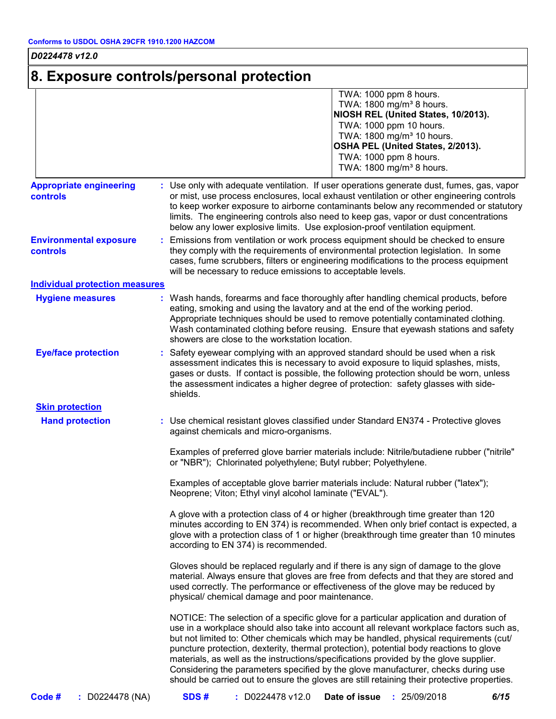# **8. Exposure controls/personal protection**

|                                                   | TWA: 1000 ppm 8 hours.<br>TWA: 1800 mg/m <sup>3</sup> 8 hours.<br>NIOSH REL (United States, 10/2013).<br>TWA: 1000 ppm 10 hours.<br>TWA: 1800 mg/m <sup>3</sup> 10 hours.<br>OSHA PEL (United States, 2/2013).<br>TWA: 1000 ppm 8 hours.<br>TWA: 1800 mg/m <sup>3</sup> 8 hours.                                                                                                                                                                                                                                                                                                                                                                   |  |  |  |
|---------------------------------------------------|----------------------------------------------------------------------------------------------------------------------------------------------------------------------------------------------------------------------------------------------------------------------------------------------------------------------------------------------------------------------------------------------------------------------------------------------------------------------------------------------------------------------------------------------------------------------------------------------------------------------------------------------------|--|--|--|
| <b>Appropriate engineering</b><br><b>controls</b> | : Use only with adequate ventilation. If user operations generate dust, fumes, gas, vapor<br>or mist, use process enclosures, local exhaust ventilation or other engineering controls<br>to keep worker exposure to airborne contaminants below any recommended or statutory<br>limits. The engineering controls also need to keep gas, vapor or dust concentrations<br>below any lower explosive limits. Use explosion-proof ventilation equipment.                                                                                                                                                                                               |  |  |  |
| <b>Environmental exposure</b><br><b>controls</b>  | Emissions from ventilation or work process equipment should be checked to ensure<br>they comply with the requirements of environmental protection legislation. In some<br>cases, fume scrubbers, filters or engineering modifications to the process equipment<br>will be necessary to reduce emissions to acceptable levels.                                                                                                                                                                                                                                                                                                                      |  |  |  |
| <b>Individual protection measures</b>             |                                                                                                                                                                                                                                                                                                                                                                                                                                                                                                                                                                                                                                                    |  |  |  |
| <b>Hygiene measures</b>                           | : Wash hands, forearms and face thoroughly after handling chemical products, before<br>eating, smoking and using the lavatory and at the end of the working period.<br>Appropriate techniques should be used to remove potentially contaminated clothing.<br>Wash contaminated clothing before reusing. Ensure that eyewash stations and safety<br>showers are close to the workstation location.                                                                                                                                                                                                                                                  |  |  |  |
| <b>Eye/face protection</b>                        | Safety eyewear complying with an approved standard should be used when a risk<br>assessment indicates this is necessary to avoid exposure to liquid splashes, mists,<br>gases or dusts. If contact is possible, the following protection should be worn, unless<br>the assessment indicates a higher degree of protection: safety glasses with side-<br>shields.                                                                                                                                                                                                                                                                                   |  |  |  |
| <b>Skin protection</b>                            |                                                                                                                                                                                                                                                                                                                                                                                                                                                                                                                                                                                                                                                    |  |  |  |
| <b>Hand protection</b>                            | : Use chemical resistant gloves classified under Standard EN374 - Protective gloves<br>against chemicals and micro-organisms.                                                                                                                                                                                                                                                                                                                                                                                                                                                                                                                      |  |  |  |
|                                                   | Examples of preferred glove barrier materials include: Nitrile/butadiene rubber ("nitrile"<br>or "NBR"); Chlorinated polyethylene; Butyl rubber; Polyethylene.                                                                                                                                                                                                                                                                                                                                                                                                                                                                                     |  |  |  |
|                                                   | Examples of acceptable glove barrier materials include: Natural rubber ("latex");<br>Neoprene; Viton; Ethyl vinyl alcohol laminate ("EVAL").                                                                                                                                                                                                                                                                                                                                                                                                                                                                                                       |  |  |  |
|                                                   | A glove with a protection class of 4 or higher (breakthrough time greater than 120<br>minutes according to EN 374) is recommended. When only brief contact is expected, a<br>glove with a protection class of 1 or higher (breakthrough time greater than 10 minutes<br>according to EN 374) is recommended.                                                                                                                                                                                                                                                                                                                                       |  |  |  |
|                                                   | Gloves should be replaced regularly and if there is any sign of damage to the glove<br>material. Always ensure that gloves are free from defects and that they are stored and<br>used correctly. The performance or effectiveness of the glove may be reduced by<br>physical/ chemical damage and poor maintenance.                                                                                                                                                                                                                                                                                                                                |  |  |  |
|                                                   | NOTICE: The selection of a specific glove for a particular application and duration of<br>use in a workplace should also take into account all relevant workplace factors such as,<br>but not limited to: Other chemicals which may be handled, physical requirements (cut/<br>puncture protection, dexterity, thermal protection), potential body reactions to glove<br>materials, as well as the instructions/specifications provided by the glove supplier.<br>Considering the parameters specified by the glove manufacturer, checks during use<br>should be carried out to ensure the gloves are still retaining their protective properties. |  |  |  |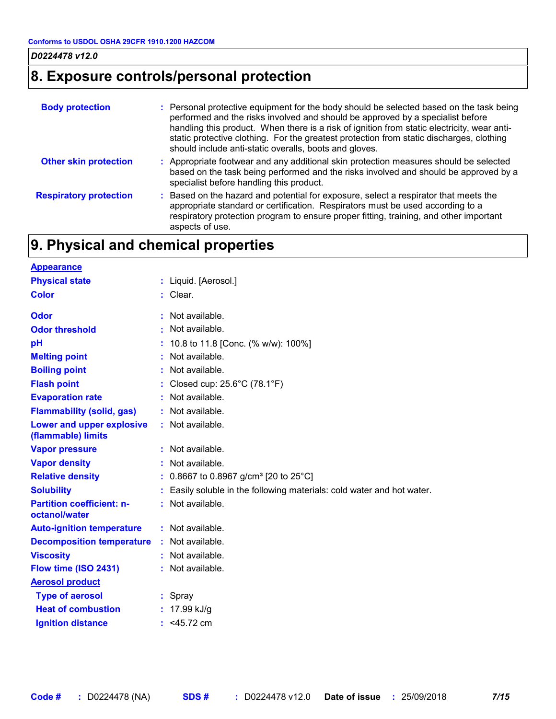# **8. Exposure controls/personal protection**

| <b>Body protection</b>        | : Personal protective equipment for the body should be selected based on the task being<br>performed and the risks involved and should be approved by a specialist before<br>handling this product. When there is a risk of ignition from static electricity, wear anti-<br>static protective clothing. For the greatest protection from static discharges, clothing<br>should include anti-static overalls, boots and gloves. |
|-------------------------------|--------------------------------------------------------------------------------------------------------------------------------------------------------------------------------------------------------------------------------------------------------------------------------------------------------------------------------------------------------------------------------------------------------------------------------|
| <b>Other skin protection</b>  | : Appropriate footwear and any additional skin protection measures should be selected<br>based on the task being performed and the risks involved and should be approved by a<br>specialist before handling this product.                                                                                                                                                                                                      |
| <b>Respiratory protection</b> | : Based on the hazard and potential for exposure, select a respirator that meets the<br>appropriate standard or certification. Respirators must be used according to a<br>respiratory protection program to ensure proper fitting, training, and other important<br>aspects of use.                                                                                                                                            |

# **9. Physical and chemical properties**

| <b>Appearance</b>                                 |                                                                      |
|---------------------------------------------------|----------------------------------------------------------------------|
| <b>Physical state</b>                             | : Liquid. [Aerosol.]                                                 |
| <b>Color</b>                                      | $:$ Clear.                                                           |
| <b>Odor</b>                                       | : Not available.                                                     |
| <b>Odor threshold</b>                             | : Not available.                                                     |
| pH                                                | 10.8 to 11.8 [Conc. (% w/w): 100%]                                   |
| <b>Melting point</b>                              | : Not available.                                                     |
| <b>Boiling point</b>                              | : Not available.                                                     |
| <b>Flash point</b>                                | : Closed cup: $25.6^{\circ}$ C (78.1 $^{\circ}$ F)                   |
| <b>Evaporation rate</b>                           | Not available.                                                       |
| <b>Flammability (solid, gas)</b>                  | : Not available.                                                     |
| Lower and upper explosive<br>(flammable) limits   | : Not available.                                                     |
| <b>Vapor pressure</b>                             | : Not available.                                                     |
| <b>Vapor density</b>                              | : Not available.                                                     |
| <b>Relative density</b>                           | : 0.8667 to 0.8967 g/cm <sup>3</sup> [20 to 25°C]                    |
| <b>Solubility</b>                                 | Easily soluble in the following materials: cold water and hot water. |
| <b>Partition coefficient: n-</b><br>octanol/water | : Not available.                                                     |
| <b>Auto-ignition temperature</b>                  | : Not available.                                                     |
| <b>Decomposition temperature</b>                  | : Not available.                                                     |
| <b>Viscosity</b>                                  | : Not available.                                                     |
| Flow time (ISO 2431)                              | : Not available.                                                     |
| <b>Aerosol product</b>                            |                                                                      |
| <b>Type of aerosol</b>                            | : Spray                                                              |
| <b>Heat of combustion</b>                         | : $17.99$ kJ/g                                                       |
| <b>Ignition distance</b>                          | : $<$ 45.72 cm                                                       |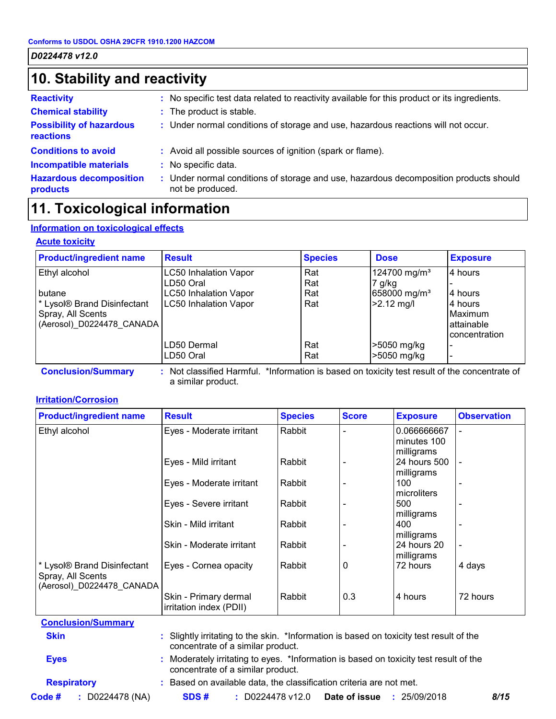# **10. Stability and reactivity**

| <b>Reactivity</b>                                   | : No specific test data related to reactivity available for this product or its ingredients.            |  |
|-----------------------------------------------------|---------------------------------------------------------------------------------------------------------|--|
| <b>Chemical stability</b>                           | : The product is stable.                                                                                |  |
| <b>Possibility of hazardous</b><br><b>reactions</b> | : Under normal conditions of storage and use, hazardous reactions will not occur.                       |  |
| <b>Conditions to avoid</b>                          | : Avoid all possible sources of ignition (spark or flame).                                              |  |
| <b>Incompatible materials</b>                       | : No specific data.                                                                                     |  |
| <b>Hazardous decomposition</b><br>products          | Under normal conditions of storage and use, hazardous decomposition products should<br>not be produced. |  |

# **11. Toxicological information**

### **Information on toxicological effects**

### **Acute toxicity**

| <b>Product/ingredient name</b>                     | <b>Result</b>                | <b>Species</b> | <b>Dose</b>              | <b>Exposure</b>      |
|----------------------------------------------------|------------------------------|----------------|--------------------------|----------------------|
| Ethyl alcohol                                      | <b>LC50 Inhalation Vapor</b> | Rat            | 124700 mg/m <sup>3</sup> | 4 hours              |
|                                                    | LD50 Oral                    | Rat            | $7$ g/kg                 |                      |
| butane                                             | <b>LC50 Inhalation Vapor</b> | Rat            | 658000 mg/m <sup>3</sup> | 4 hours              |
| <sup>*</sup> Lysol <sup>®</sup> Brand Disinfectant | <b>LC50 Inhalation Vapor</b> | Rat            | $>2.12$ mg/l             | 4 hours              |
| Spray, All Scents                                  |                              |                |                          | Maximum              |
| (Aerosol) D0224478 CANADA                          |                              |                |                          | attainable           |
|                                                    |                              |                |                          | <b>concentration</b> |
|                                                    | LD50 Dermal                  | Rat            | >5050 mg/kg              |                      |
|                                                    | LD50 Oral                    | Rat            | >5050 mg/kg              |                      |

a similar product.

### **Irritation/Corrosion**

| <b>Product/ingredient name</b>                   | <b>Result</b>                                                                                                            | <b>Species</b> | <b>Score</b> | <b>Exposure</b>            | <b>Observation</b>       |
|--------------------------------------------------|--------------------------------------------------------------------------------------------------------------------------|----------------|--------------|----------------------------|--------------------------|
| Ethyl alcohol                                    | Eyes - Moderate irritant                                                                                                 | Rabbit         |              | 0.066666667<br>minutes 100 | $\overline{\phantom{a}}$ |
|                                                  |                                                                                                                          |                |              | milligrams                 |                          |
|                                                  | Eyes - Mild irritant                                                                                                     | Rabbit         |              | 24 hours 500               |                          |
|                                                  |                                                                                                                          |                |              | milligrams                 |                          |
|                                                  | Eyes - Moderate irritant                                                                                                 | Rabbit         |              | 100<br>microliters         |                          |
|                                                  | Eyes - Severe irritant                                                                                                   | Rabbit         |              | 500                        |                          |
|                                                  |                                                                                                                          |                |              | milligrams                 |                          |
|                                                  | Skin - Mild irritant                                                                                                     | Rabbit         |              | 400                        |                          |
|                                                  |                                                                                                                          |                |              | milligrams                 |                          |
|                                                  | Skin - Moderate irritant                                                                                                 | Rabbit         |              | 24 hours 20                |                          |
|                                                  |                                                                                                                          |                |              | milligrams                 |                          |
| * Lysol® Brand Disinfectant<br>Spray, All Scents | Eyes - Cornea opacity                                                                                                    | Rabbit         | 0            | 72 hours                   | 4 days                   |
| (Aerosol) D0224478 CANADA                        |                                                                                                                          |                |              |                            |                          |
|                                                  | Skin - Primary dermal                                                                                                    | Rabbit         | 0.3          | 4 hours                    | 72 hours                 |
|                                                  | irritation index (PDII)                                                                                                  |                |              |                            |                          |
| <b>Conclusion/Summary</b>                        |                                                                                                                          |                |              |                            |                          |
| <b>Skin</b>                                      | Slightly irritating to the skin. *Information is based on toxicity test result of the                                    |                |              |                            |                          |
|                                                  | concentrate of a similar product.                                                                                        |                |              |                            |                          |
| <b>Eyes</b>                                      | Moderately irritating to eyes. *Information is based on toxicity test result of the<br>concentrate of a similar product. |                |              |                            |                          |
| <b>Respiratory</b>                               | Based on available data, the classification criteria are not met.                                                        |                |              |                            |                          |

**Code # :** D0224478 (NA) **SDS # :** D0224478 v12.0 **Date of issue :**25/09/2018 *8/15*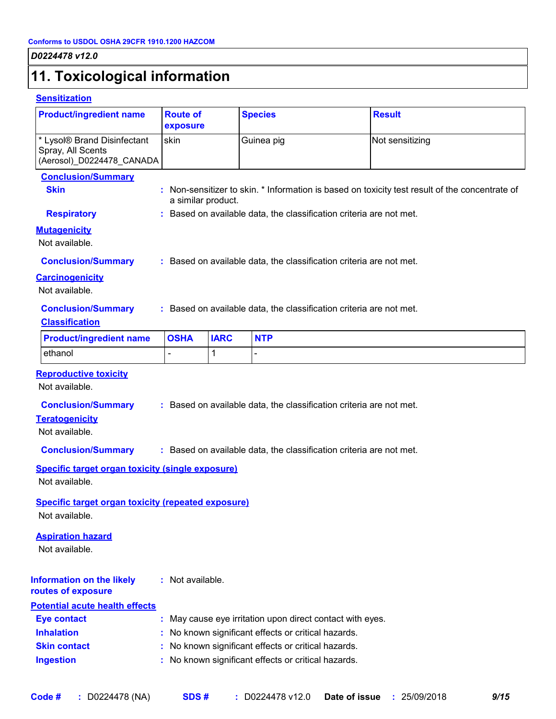# **11. Toxicological information**

### **Sensitization**

| <b>Product/ingredient name</b>                                                                                         | <b>Route of</b><br>exposure |             | <b>Species</b>                                                                                             | <b>Result</b>                                                                                  |
|------------------------------------------------------------------------------------------------------------------------|-----------------------------|-------------|------------------------------------------------------------------------------------------------------------|------------------------------------------------------------------------------------------------|
| * Lysol® Brand Disinfectant<br>Spray, All Scents<br>(Aerosol)_D0224478_CANADA                                          | skin                        |             | Guinea pig                                                                                                 | Not sensitizing                                                                                |
| <b>Conclusion/Summary</b><br><b>Skin</b>                                                                               | a similar product.          |             |                                                                                                            | : Non-sensitizer to skin. * Information is based on toxicity test result of the concentrate of |
| <b>Respiratory</b>                                                                                                     |                             |             | : Based on available data, the classification criteria are not met.                                        |                                                                                                |
| <b>Mutagenicity</b><br>Not available.                                                                                  |                             |             |                                                                                                            |                                                                                                |
| <b>Conclusion/Summary</b>                                                                                              |                             |             | : Based on available data, the classification criteria are not met.                                        |                                                                                                |
| <b>Carcinogenicity</b><br>Not available.                                                                               |                             |             |                                                                                                            |                                                                                                |
| <b>Conclusion/Summary</b><br><b>Classification</b>                                                                     |                             |             | : Based on available data, the classification criteria are not met.                                        |                                                                                                |
| <b>Product/ingredient name</b>                                                                                         | <b>OSHA</b>                 | <b>IARC</b> | <b>NTP</b>                                                                                                 |                                                                                                |
| ethanol                                                                                                                | $\overline{a}$              | 1           |                                                                                                            |                                                                                                |
| <b>Reproductive toxicity</b><br>Not available.<br><b>Conclusion/Summary</b><br><b>Teratogenicity</b><br>Not available. |                             |             | : Based on available data, the classification criteria are not met.                                        |                                                                                                |
| <b>Conclusion/Summary</b>                                                                                              |                             |             | : Based on available data, the classification criteria are not met.                                        |                                                                                                |
| <b>Specific target organ toxicity (single exposure)</b><br>Not available.                                              |                             |             |                                                                                                            |                                                                                                |
| <b>Specific target organ toxicity (repeated exposure)</b><br>Not available.                                            |                             |             |                                                                                                            |                                                                                                |
| <b>Aspiration hazard</b><br>Not available.                                                                             |                             |             |                                                                                                            |                                                                                                |
| <b>Information on the likely</b><br>routes of exposure                                                                 | : Not available.            |             |                                                                                                            |                                                                                                |
|                                                                                                                        |                             |             |                                                                                                            |                                                                                                |
|                                                                                                                        |                             |             |                                                                                                            |                                                                                                |
| <b>Eye contact</b>                                                                                                     |                             |             | : May cause eye irritation upon direct contact with eyes.                                                  |                                                                                                |
| <b>Inhalation</b>                                                                                                      |                             |             | : No known significant effects or critical hazards.                                                        |                                                                                                |
| <b>Potential acute health effects</b><br><b>Skin contact</b><br><b>Ingestion</b>                                       |                             |             | : No known significant effects or critical hazards.<br>: No known significant effects or critical hazards. |                                                                                                |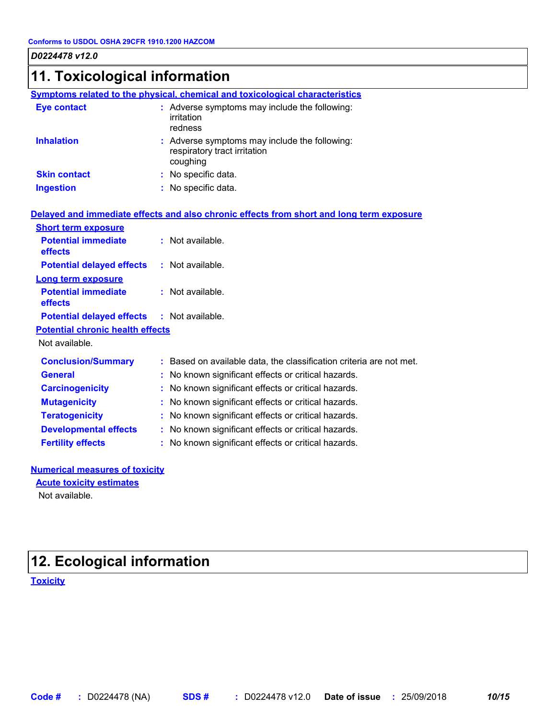# **11. Toxicological information**

|                                         | Symptoms related to the physical, chemical and toxicological characteristics              |
|-----------------------------------------|-------------------------------------------------------------------------------------------|
| <b>Eye contact</b>                      | : Adverse symptoms may include the following:<br>irritation<br>redness                    |
| <b>Inhalation</b>                       | : Adverse symptoms may include the following:<br>respiratory tract irritation<br>coughing |
| <b>Skin contact</b>                     | : No specific data.                                                                       |
| <b>Ingestion</b>                        | : No specific data.                                                                       |
|                                         | Delayed and immediate effects and also chronic effects from short and long term exposure  |
| <b>Short term exposure</b>              |                                                                                           |
| <b>Potential immediate</b><br>effects   | : Not available.                                                                          |
| <b>Potential delayed effects</b>        | : Not available.                                                                          |
| <b>Long term exposure</b>               |                                                                                           |
| <b>Potential immediate</b><br>effects   | : Not available.                                                                          |
| <b>Potential delayed effects</b>        | $:$ Not available.                                                                        |
| <b>Potential chronic health effects</b> |                                                                                           |
| Not available.                          |                                                                                           |
| <b>Conclusion/Summary</b>               | : Based on available data, the classification criteria are not met.                       |
| <b>General</b>                          | : No known significant effects or critical hazards.                                       |
| <b>Carcinogenicity</b>                  | : No known significant effects or critical hazards.                                       |
| <b>Mutagenicity</b>                     | No known significant effects or critical hazards.                                         |
| <b>Teratogenicity</b>                   | : No known significant effects or critical hazards.                                       |
| <b>Developmental effects</b>            | : No known significant effects or critical hazards.                                       |
| <b>Fertility effects</b>                | : No known significant effects or critical hazards.                                       |
|                                         |                                                                                           |

### **Numerical measures of toxicity**

### **Acute toxicity estimates**

Not available.

# **12. Ecological information**

**Toxicity**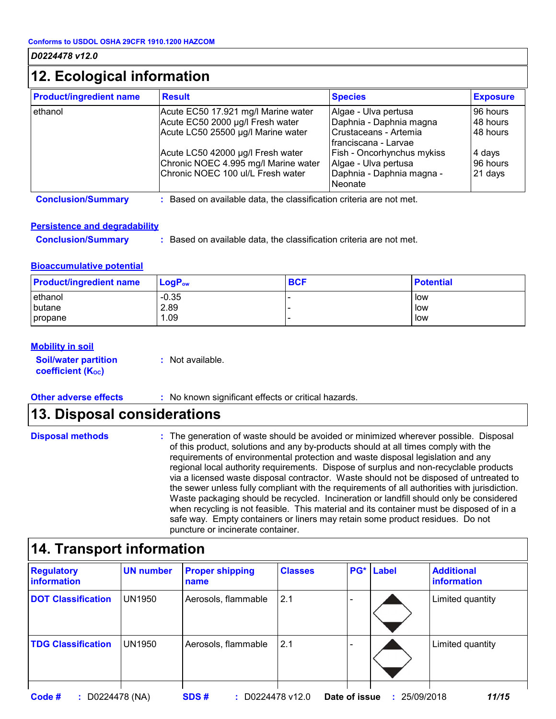# **12. Ecological information**

| <b>Product/ingredient name</b> | <b>Result</b>                        | <b>Species</b>                       | <b>Exposure</b> |
|--------------------------------|--------------------------------------|--------------------------------------|-----------------|
| ethanol                        | Acute EC50 17.921 mg/l Marine water  | Algae - Ulva pertusa                 | 96 hours        |
|                                | Acute EC50 2000 µg/l Fresh water     | Daphnia - Daphnia magna              | 48 hours        |
|                                | Acute LC50 25500 µg/l Marine water   | Crustaceans - Artemia                | 48 hours        |
|                                |                                      | l franciscana - Larvae               |                 |
|                                | Acute LC50 42000 µg/l Fresh water    | Fish - Oncorhynchus mykiss           | 4 days          |
|                                | Chronic NOEC 4.995 mg/l Marine water | Algae - Ulva pertusa                 | 96 hours        |
|                                | Chronic NOEC 100 ul/L Fresh water    | Daphnia - Daphnia magna -<br>Neonate | 21 days         |

**Conclusion/Summary :** Based on available data, the classification criteria are not met.

### **Persistence and degradability**

**Conclusion/Summary :** Based on available data, the classification criteria are not met.

### **Bioaccumulative potential**

| <b>Product/ingredient name</b> | $LogP_{ow}$ | <b>BCF</b> | <b>Potential</b> |
|--------------------------------|-------------|------------|------------------|
| ethanol                        | $-0.35$     |            | low              |
| butane                         | 2.89        |            | low              |
| propane                        | .09         |            | low              |

### **Mobility in soil**

| <b>Soil/water partition</b> |  |  |  |  |
|-----------------------------|--|--|--|--|
| <b>coefficient (Koc)</b>    |  |  |  |  |

**:** Not available.

**Other adverse effects :** No known significant effects or critical hazards.

## **13. Disposal considerations**

#### The generation of waste should be avoided or minimized wherever possible. Disposal of this product, solutions and any by-products should at all times comply with the requirements of environmental protection and waste disposal legislation and any regional local authority requirements. Dispose of surplus and non-recyclable products via a licensed waste disposal contractor. Waste should not be disposed of untreated to the sewer unless fully compliant with the requirements of all authorities with jurisdiction. Waste packaging should be recycled. Incineration or landfill should only be considered when recycling is not feasible. This material and its container must be disposed of in a safe way. Empty containers or liners may retain some product residues. Do not puncture or incinerate container. **Disposal methods :**

# **14. Transport information**

| <b>Regulatory</b><br><b>linformation</b> | <b>UN number</b> | <b>Proper shipping</b><br>name | <b>Classes</b> | PG <sup>*</sup>          | Label        | <b>Additional</b><br>information |
|------------------------------------------|------------------|--------------------------------|----------------|--------------------------|--------------|----------------------------------|
| <b>DOT Classification</b>                | <b>UN1950</b>    | Aerosols, flammable            | 2.1            | $\overline{\phantom{0}}$ |              | Limited quantity                 |
| <b>TDG Classification</b>                | <b>UN1950</b>    | Aerosols, flammable            | 2.1            |                          |              | Limited quantity                 |
| Code #<br>$:$ D0224478 (NA)              |                  | SDS#                           | D0224478 v12.0 | Date of issue            | : 25/09/2018 | 11/15                            |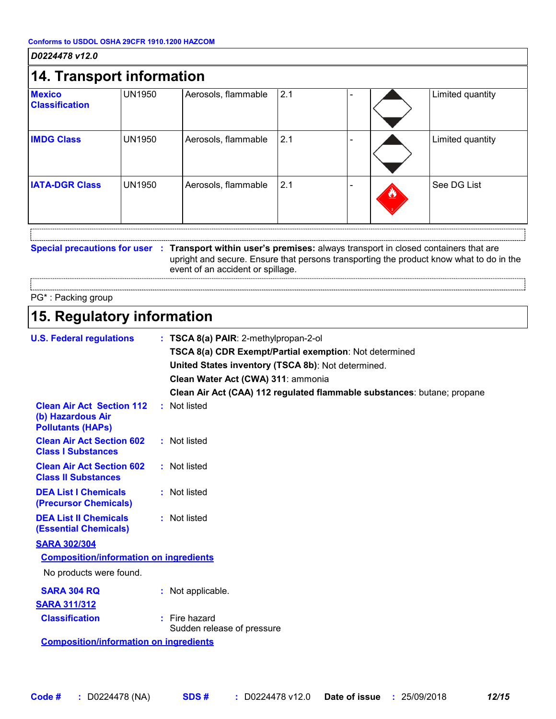| D0224478 v12.0                                                                            |               |                                                                                                                                                                                                                                               |     |  |                                                                                         |
|-------------------------------------------------------------------------------------------|---------------|-----------------------------------------------------------------------------------------------------------------------------------------------------------------------------------------------------------------------------------------------|-----|--|-----------------------------------------------------------------------------------------|
| <b>14. Transport information</b>                                                          |               |                                                                                                                                                                                                                                               |     |  |                                                                                         |
| <b>Mexico</b><br><b>Classification</b>                                                    | <b>UN1950</b> | Aerosols, flammable                                                                                                                                                                                                                           | 2.1 |  | Limited quantity                                                                        |
| <b>IMDG Class</b>                                                                         | <b>UN1950</b> | Aerosols, flammable                                                                                                                                                                                                                           | 2.1 |  | Limited quantity                                                                        |
| <b>IATA-DGR Class</b>                                                                     | <b>UN1950</b> | Aerosols, flammable                                                                                                                                                                                                                           | 2.1 |  | See DG List                                                                             |
|                                                                                           |               | Special precautions for user : Transport within user's premises: always transport in closed containers that are<br>event of an accident or spillage.                                                                                          |     |  | upright and secure. Ensure that persons transporting the product know what to do in the |
| PG*: Packing group                                                                        |               |                                                                                                                                                                                                                                               |     |  |                                                                                         |
| 15. Regulatory information                                                                |               |                                                                                                                                                                                                                                               |     |  |                                                                                         |
| <b>Clean Air Act Section 112</b><br>(b) Hazardous Air                                     |               | TSCA 8(a) CDR Exempt/Partial exemption: Not determined<br>United States inventory (TSCA 8b): Not determined.<br>Clean Water Act (CWA) 311: ammonia<br>Clean Air Act (CAA) 112 regulated flammable substances: butane; propane<br>: Not listed |     |  |                                                                                         |
| <b>Pollutants (HAPs)</b><br><b>Clean Air Act Section 602</b><br><b>Class I Substances</b> |               | : Not listed                                                                                                                                                                                                                                  |     |  |                                                                                         |
| <b>Clean Air Act Section 602</b><br><b>Class II Substances</b>                            |               | : Not listed                                                                                                                                                                                                                                  |     |  |                                                                                         |
| <b>DEA List I Chemicals</b><br>(Precursor Chemicals)                                      |               | : Not listed                                                                                                                                                                                                                                  |     |  |                                                                                         |
| <b>DEA List II Chemicals</b><br><b>(Essential Chemicals)</b>                              |               | : Not listed                                                                                                                                                                                                                                  |     |  |                                                                                         |
| <b>SARA 302/304</b>                                                                       |               |                                                                                                                                                                                                                                               |     |  |                                                                                         |
| <b>Composition/information on ingredients</b>                                             |               |                                                                                                                                                                                                                                               |     |  |                                                                                         |
| No products were found.                                                                   |               |                                                                                                                                                                                                                                               |     |  |                                                                                         |
| <b>SARA 304 RQ</b><br><b>SARA 311/312</b>                                                 |               | : Not applicable.                                                                                                                                                                                                                             |     |  |                                                                                         |
|                                                                                           |               |                                                                                                                                                                                                                                               |     |  |                                                                                         |
| <b>Classification</b>                                                                     |               | : Fire hazard<br>Sudden release of pressure                                                                                                                                                                                                   |     |  |                                                                                         |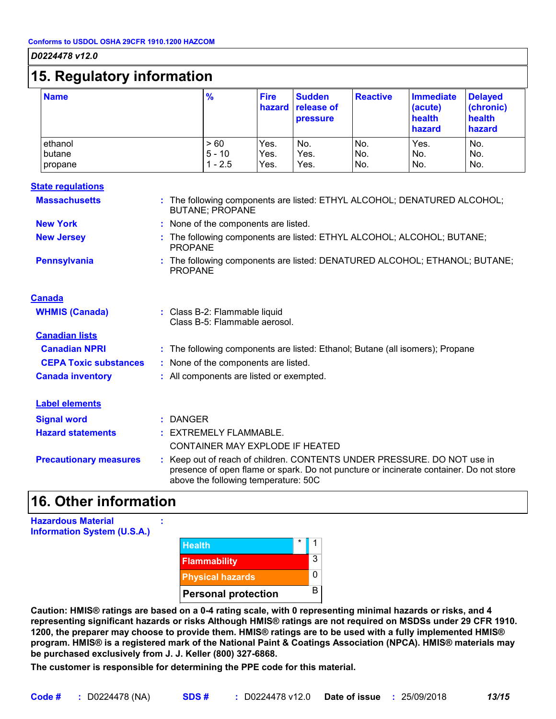# **15. Regulatory information**

| ັ                            |                              |                      |                                         |                    |                                                 |                                                 |
|------------------------------|------------------------------|----------------------|-----------------------------------------|--------------------|-------------------------------------------------|-------------------------------------------------|
| <b>Name</b>                  | $\frac{9}{6}$                | Fire<br>hazard       | <b>Sudden</b><br>release of<br>pressure | <b>Reactive</b>    | <b>Immediate</b><br>(acute)<br>health<br>hazard | <b>Delayed</b><br>(chronic)<br>health<br>hazard |
| ethanol<br>butane<br>propane | >60<br>$5 - 10$<br>$1 - 2.5$ | Yes.<br>Yes.<br>Yes. | No.<br>Yes.<br>Yes.                     | No.<br>INo.<br>No. | Yes.<br>No.<br>No.                              | No.<br>No.<br>No.                               |

### **State regulations**

| <b>Massachusetts</b>          | : The following components are listed: ETHYL ALCOHOL; DENATURED ALCOHOL;<br><b>BUTANE; PROPANE</b>                                                                                                        |  |  |
|-------------------------------|-----------------------------------------------------------------------------------------------------------------------------------------------------------------------------------------------------------|--|--|
| <b>New York</b>               | : None of the components are listed.                                                                                                                                                                      |  |  |
| <b>New Jersey</b>             | : The following components are listed: ETHYL ALCOHOL; ALCOHOL; BUTANE;<br><b>PROPANE</b>                                                                                                                  |  |  |
| <b>Pennsylvania</b>           | : The following components are listed: DENATURED ALCOHOL; ETHANOL; BUTANE;<br><b>PROPANE</b>                                                                                                              |  |  |
| <b>Canada</b>                 |                                                                                                                                                                                                           |  |  |
| <b>WHMIS (Canada)</b>         | : Class B-2: Flammable liquid<br>Class B-5: Flammable aerosol.                                                                                                                                            |  |  |
| <b>Canadian lists</b>         |                                                                                                                                                                                                           |  |  |
| <b>Canadian NPRI</b>          | : The following components are listed: Ethanol; Butane (all isomers); Propane                                                                                                                             |  |  |
| <b>CEPA Toxic substances</b>  | : None of the components are listed.                                                                                                                                                                      |  |  |
| <b>Canada inventory</b>       | : All components are listed or exempted.                                                                                                                                                                  |  |  |
| <b>Label elements</b>         |                                                                                                                                                                                                           |  |  |
| <b>Signal word</b>            | $:$ DANGER                                                                                                                                                                                                |  |  |
| <b>Hazard statements</b>      | : EXTREMELY FLAMMABLE.                                                                                                                                                                                    |  |  |
|                               | CONTAINER MAY EXPLODE IF HEATED                                                                                                                                                                           |  |  |
| <b>Precautionary measures</b> | : Keep out of reach of children. CONTENTS UNDER PRESSURE. DO NOT use in<br>presence of open flame or spark. Do not puncture or incinerate container. Do not store<br>above the following temperature: 50C |  |  |

## **16. Other information**

**Hazardous Material Information System (U.S.A.)**



**Caution: HMIS® ratings are based on a 0-4 rating scale, with 0 representing minimal hazards or risks, and 4 representing significant hazards or risks Although HMIS® ratings are not required on MSDSs under 29 CFR 1910. 1200, the preparer may choose to provide them. HMIS® ratings are to be used with a fully implemented HMIS® program. HMIS® is a registered mark of the National Paint & Coatings Association (NPCA). HMIS® materials may be purchased exclusively from J. J. Keller (800) 327-6868.**

**The customer is responsible for determining the PPE code for this material.**

**:**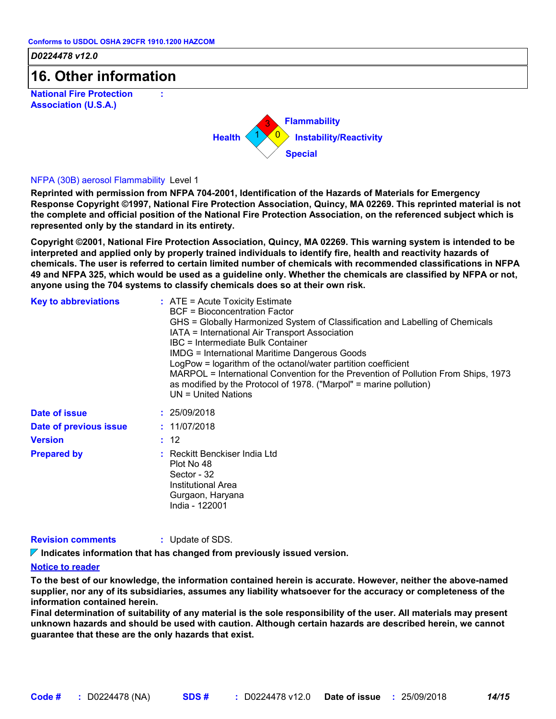**:**

*D0224478 v12.0*

# **16. Other information**

**National Fire Protection Association (U.S.A.)**



### NFPA (30B) aerosol Flammability Level 1

**Reprinted with permission from NFPA 704-2001, Identification of the Hazards of Materials for Emergency Response Copyright ©1997, National Fire Protection Association, Quincy, MA 02269. This reprinted material is not the complete and official position of the National Fire Protection Association, on the referenced subject which is represented only by the standard in its entirety.**

**Copyright ©2001, National Fire Protection Association, Quincy, MA 02269. This warning system is intended to be interpreted and applied only by properly trained individuals to identify fire, health and reactivity hazards of chemicals. The user is referred to certain limited number of chemicals with recommended classifications in NFPA 49 and NFPA 325, which would be used as a guideline only. Whether the chemicals are classified by NFPA or not, anyone using the 704 systems to classify chemicals does so at their own risk.**

| <b>Key to abbreviations</b> | : ATE = Acute Toxicity Estimate<br>BCF = Bioconcentration Factor<br>GHS = Globally Harmonized System of Classification and Labelling of Chemicals<br>IATA = International Air Transport Association<br><b>IBC</b> = Intermediate Bulk Container<br><b>IMDG = International Maritime Dangerous Goods</b><br>LogPow = logarithm of the octanol/water partition coefficient<br>MARPOL = International Convention for the Prevention of Pollution From Ships, 1973<br>as modified by the Protocol of 1978. ("Marpol" = marine pollution)<br>$UN = United Nations$ |
|-----------------------------|---------------------------------------------------------------------------------------------------------------------------------------------------------------------------------------------------------------------------------------------------------------------------------------------------------------------------------------------------------------------------------------------------------------------------------------------------------------------------------------------------------------------------------------------------------------|
| Date of issue               | : 25/09/2018                                                                                                                                                                                                                                                                                                                                                                                                                                                                                                                                                  |
| Date of previous issue      | : 11/07/2018                                                                                                                                                                                                                                                                                                                                                                                                                                                                                                                                                  |
| <b>Version</b>              | : 12                                                                                                                                                                                                                                                                                                                                                                                                                                                                                                                                                          |
| <b>Prepared by</b>          | : Reckitt Benckiser India Ltd<br>Plot No 48<br>Sector - 32<br>Institutional Area<br>Gurgaon, Haryana<br>India - 122001                                                                                                                                                                                                                                                                                                                                                                                                                                        |

### **Revision comments :** Update of SDS.

**Indicates information that has changed from previously issued version.**

### **Notice to reader**

**To the best of our knowledge, the information contained herein is accurate. However, neither the above-named supplier, nor any of its subsidiaries, assumes any liability whatsoever for the accuracy or completeness of the information contained herein.**

**Final determination of suitability of any material is the sole responsibility of the user. All materials may present unknown hazards and should be used with caution. Although certain hazards are described herein, we cannot guarantee that these are the only hazards that exist.**